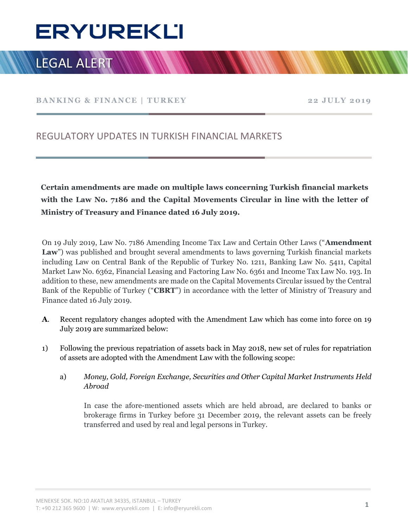# Ī

# **LEGAL ALERT**

BANKING & FINANCE | TURKEY 22 JULY 2019

### REGULATORY UPDATES IN TURKISH FINANCIAL MARKETS

Certain amendments are made on multiple laws concerning Turkish financial markets with the Law No. 7186 and the Capital Movements Circular in line with the letter of Ministry of Treasury and Finance dated 16 July 2019.

On 19 July 2019, Law No. 7186 Amending Income Tax Law and Certain Other Laws ("Amendment Law") was published and brought several amendments to laws governing Turkish financial markets including Law on Central Bank of the Republic of Turkey No. 1211, Banking Law No. 5411, Capital Market Law No. 6362, Financial Leasing and Factoring Law No. 6361 and Income Tax Law No. 193. In addition to these, new amendments are made on the Capital Movements Circular issued by the Central Bank of the Republic of Turkey ("CBRT") in accordance with the letter of Ministry of Treasury and Finance dated 16 July 2019.

- A. Recent regulatory changes adopted with the Amendment Law which has come into force on 19 July 2019 are summarized below:
- 1) Following the previous repatriation of assets back in May 2018, new set of rules for repatriation of assets are adopted with the Amendment Law with the following scope:
	- a) Money, Gold, Foreign Exchange, Securities and Other Capital Market Instruments Held Abroad

In case the afore-mentioned assets which are held abroad, are declared to banks or brokerage firms in Turkey before 31 December 2019, the relevant assets can be freely transferred and used by real and legal persons in Turkey.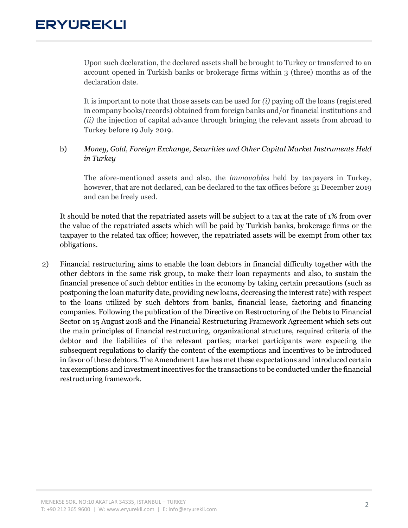## **ERYUREKLI**

Upon such declaration, the declared assets shall be brought to Turkey or transferred to an account opened in Turkish banks or brokerage firms within 3 (three) months as of the declaration date.

It is important to note that those assets can be used for  $(i)$  paying off the loans (registered in company books/records) obtained from foreign banks and/or financial institutions and (ii) the injection of capital advance through bringing the relevant assets from abroad to Turkey before 19 July 2019.

#### b) Money, Gold, Foreign Exchange, Securities and Other Capital Market Instruments Held in Turkey

The afore-mentioned assets and also, the immovables held by taxpayers in Turkey, however, that are not declared, can be declared to the tax offices before 31 December 2019 and can be freely used.

It should be noted that the repatriated assets will be subject to a tax at the rate of 1% from over the value of the repatriated assets which will be paid by Turkish banks, brokerage firms or the taxpayer to the related tax office; however, the repatriated assets will be exempt from other tax obligations.

2) Financial restructuring aims to enable the loan debtors in financial difficulty together with the other debtors in the same risk group, to make their loan repayments and also, to sustain the financial presence of such debtor entities in the economy by taking certain precautions (such as postponing the loan maturity date, providing new loans, decreasing the interest rate) with respect to the loans utilized by such debtors from banks, financial lease, factoring and financing companies. Following the publication of the Directive on Restructuring of the Debts to Financial Sector on 15 August 2018 and the Financial Restructuring Framework Agreement which sets out the main principles of financial restructuring, organizational structure, required criteria of the debtor and the liabilities of the relevant parties; market participants were expecting the subsequent regulations to clarify the content of the exemptions and incentives to be introduced in favor of these debtors. The Amendment Law has met these expectations and introduced certain tax exemptions and investment incentives for the transactions to be conducted under the financial restructuring framework.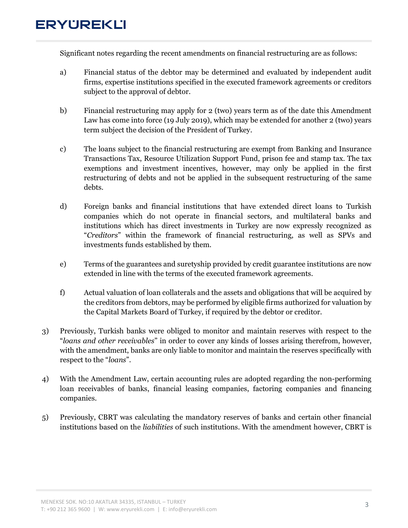## **ERYUREKLI**

Significant notes regarding the recent amendments on financial restructuring are as follows:

- a) Financial status of the debtor may be determined and evaluated by independent audit firms, expertise institutions specified in the executed framework agreements or creditors subject to the approval of debtor.
- b) Financial restructuring may apply for 2 (two) years term as of the date this Amendment Law has come into force (19 July 2019), which may be extended for another 2 (two) years term subject the decision of the President of Turkey.
- c) The loans subject to the financial restructuring are exempt from Banking and Insurance Transactions Tax, Resource Utilization Support Fund, prison fee and stamp tax. The tax exemptions and investment incentives, however, may only be applied in the first restructuring of debts and not be applied in the subsequent restructuring of the same debts.
- d) Foreign banks and financial institutions that have extended direct loans to Turkish companies which do not operate in financial sectors, and multilateral banks and institutions which has direct investments in Turkey are now expressly recognized as "Creditors" within the framework of financial restructuring, as well as SPVs and investments funds established by them.
- e) Terms of the guarantees and suretyship provided by credit guarantee institutions are now extended in line with the terms of the executed framework agreements.
- f) Actual valuation of loan collaterals and the assets and obligations that will be acquired by the creditors from debtors, may be performed by eligible firms authorized for valuation by the Capital Markets Board of Turkey, if required by the debtor or creditor.
- 3) Previously, Turkish banks were obliged to monitor and maintain reserves with respect to the "loans and other receivables" in order to cover any kinds of losses arising therefrom, however, with the amendment, banks are only liable to monitor and maintain the reserves specifically with respect to the "loans".
- 4) With the Amendment Law, certain accounting rules are adopted regarding the non-performing loan receivables of banks, financial leasing companies, factoring companies and financing companies.
- 5) Previously, CBRT was calculating the mandatory reserves of banks and certain other financial institutions based on the *liabilities* of such institutions. With the amendment however, CBRT is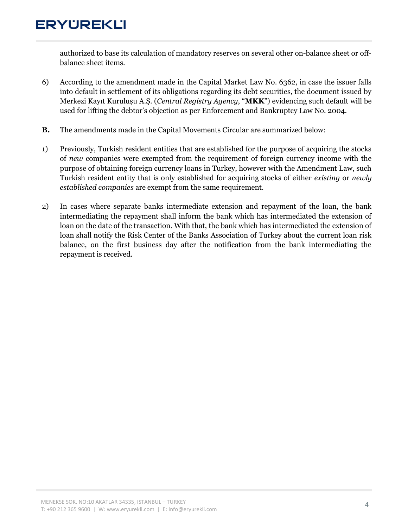# **ERYUREKLI**

authorized to base its calculation of mandatory reserves on several other on-balance sheet or offbalance sheet items.

- 6) According to the amendment made in the Capital Market Law No. 6362, in case the issuer falls into default in settlement of its obligations regarding its debt securities, the document issued by Merkezi Kayıt Kuruluşu A.Ş. (Central Registry Agency, "MKK") evidencing such default will be used for lifting the debtor's objection as per Enforcement and Bankruptcy Law No. 2004.
- B. The amendments made in the Capital Movements Circular are summarized below:
- 1) Previously, Turkish resident entities that are established for the purpose of acquiring the stocks of new companies were exempted from the requirement of foreign currency income with the purpose of obtaining foreign currency loans in Turkey, however with the Amendment Law, such Turkish resident entity that is only established for acquiring stocks of either existing or newly established companies are exempt from the same requirement.
- 2) In cases where separate banks intermediate extension and repayment of the loan, the bank intermediating the repayment shall inform the bank which has intermediated the extension of loan on the date of the transaction. With that, the bank which has intermediated the extension of loan shall notify the Risk Center of the Banks Association of Turkey about the current loan risk balance, on the first business day after the notification from the bank intermediating the repayment is received.